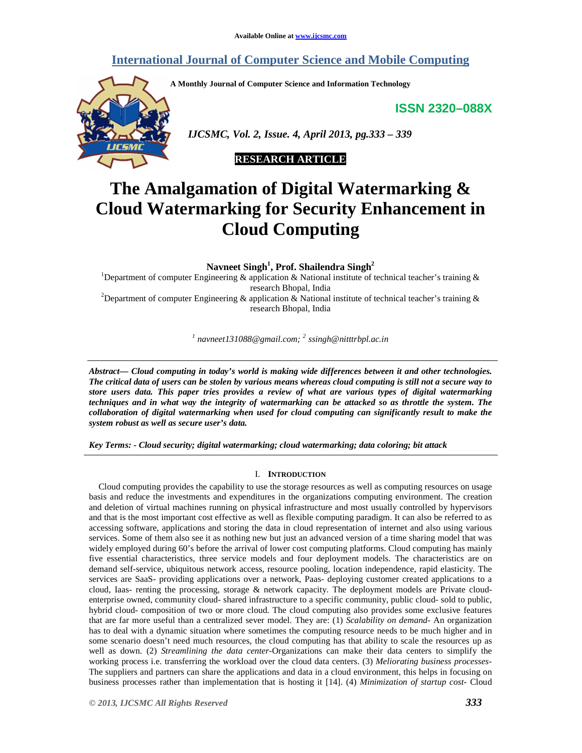# **International Journal of Computer Science and Mobile Computing**

**A Monthly Journal of Computer Science and Information Technology** 

**ISSN 2320–088X**



 *IJCSMC, Vol. 2, Issue. 4, April 2013, pg.333 – 339* 

# **RESEARCH ARTICLE**

# **The Amalgamation of Digital Watermarking & Cloud Watermarking for Security Enhancement in Cloud Computing**

**Navneet Singh<sup>1</sup> , Prof. Shailendra Singh<sup>2</sup>**

<sup>1</sup>Department of computer Engineering & application & National institute of technical teacher's training & research Bhopal, India <sup>2</sup>Department of computer Engineering & application & National institute of technical teacher's training & research Bhopal, India

*1 navneet131088@gmail.com; <sup>2</sup> ssingh@nitttrbpl.ac.in* 

*Abstract— Cloud computing in today's world is making wide differences between it and other technologies. The critical data of users can be stolen by various means whereas cloud computing is still not a secure way to store users data. This paper tries provides a review of what are various types of digital watermarking techniques and in what way the integrity of watermarking can be attacked so as throttle the system. The collaboration of digital watermarking when used for cloud computing can significantly result to make the system robust as well as secure user's data.* 

*Key Terms: - Cloud security; digital watermarking; cloud watermarking; data coloring; bit attack* 

## I. **INTRODUCTION**

Cloud computing provides the capability to use the storage resources as well as computing resources on usage basis and reduce the investments and expenditures in the organizations computing environment. The creation and deletion of virtual machines running on physical infrastructure and most usually controlled by hypervisors and that is the most important cost effective as well as flexible computing paradigm. It can also be referred to as accessing software, applications and storing the data in cloud representation of internet and also using various services. Some of them also see it as nothing new but just an advanced version of a time sharing model that was widely employed during 60's before the arrival of lower cost computing platforms. Cloud computing has mainly five essential characteristics, three service models and four deployment models. The characteristics are on demand self-service, ubiquitous network access, resource pooling, location independence, rapid elasticity. The services are SaaS- providing applications over a network, Paas- deploying customer created applications to a cloud, Iaas- renting the processing, storage & network capacity. The deployment models are Private cloudenterprise owned, community cloud- shared infrastructure to a specific community, public cloud- sold to public, hybrid cloud- composition of two or more cloud. The cloud computing also provides some exclusive features that are far more useful than a centralized sever model. They are: (1) *Scalability on demand*- An organization has to deal with a dynamic situation where sometimes the computing resource needs to be much higher and in some scenario doesn't need much resources, the cloud computing has that ability to scale the resources up as well as down. (2) *Streamlining the data center-*Organizations can make their data centers to simplify the working process i.e. transferring the workload over the cloud data centers. (3) *Meliorating business processes-*The suppliers and partners can share the applications and data in a cloud environment, this helps in focusing on business processes rather than implementation that is hosting it [14]. (4) *Minimization of startup cost*- Cloud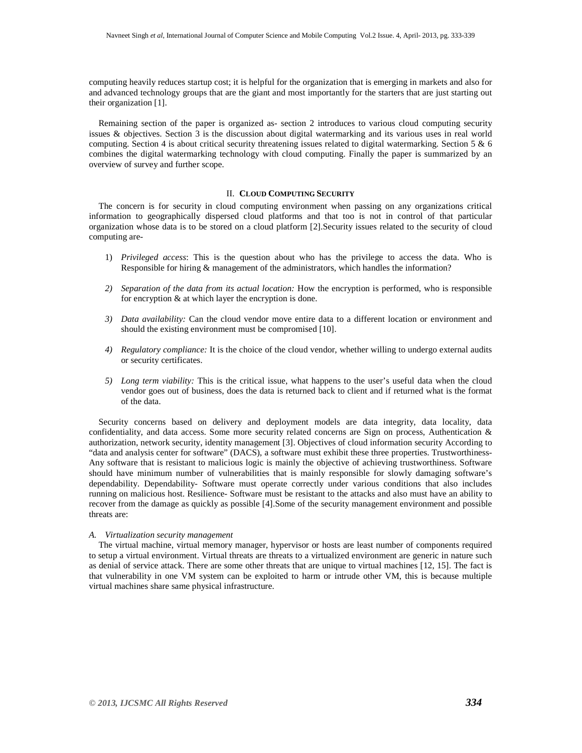computing heavily reduces startup cost; it is helpful for the organization that is emerging in markets and also for and advanced technology groups that are the giant and most importantly for the starters that are just starting out their organization [1].

Remaining section of the paper is organized as- section 2 introduces to various cloud computing security issues & objectives. Section 3 is the discussion about digital watermarking and its various uses in real world computing. Section 4 is about critical security threatening issues related to digital watermarking. Section 5 & 6 combines the digital watermarking technology with cloud computing. Finally the paper is summarized by an overview of survey and further scope.

## II. **CLOUD COMPUTING SECURITY**

The concern is for security in cloud computing environment when passing on any organizations critical information to geographically dispersed cloud platforms and that too is not in control of that particular organization whose data is to be stored on a cloud platform [2].Security issues related to the security of cloud computing are-

- 1) *Privileged access*: This is the question about who has the privilege to access the data. Who is Responsible for hiring & management of the administrators, which handles the information?
- *2) Separation of the data from its actual location:* How the encryption is performed, who is responsible for encryption & at which layer the encryption is done.
- *3) Data availability:* Can the cloud vendor move entire data to a different location or environment and should the existing environment must be compromised [10].
- *4) Regulatory compliance:* It is the choice of the cloud vendor, whether willing to undergo external audits or security certificates.
- *5) Long term viability:* This is the critical issue, what happens to the user's useful data when the cloud vendor goes out of business, does the data is returned back to client and if returned what is the format of the data.

Security concerns based on delivery and deployment models are data integrity, data locality, data confidentiality, and data access. Some more security related concerns are Sign on process, Authentication & authorization, network security, identity management [3]. Objectives of cloud information security According to "data and analysis center for software" (DACS), a software must exhibit these three properties. Trustworthiness-Any software that is resistant to malicious logic is mainly the objective of achieving trustworthiness. Software should have minimum number of vulnerabilities that is mainly responsible for slowly damaging software's dependability. Dependability- Software must operate correctly under various conditions that also includes running on malicious host. Resilience- Software must be resistant to the attacks and also must have an ability to recover from the damage as quickly as possible [4].Some of the security management environment and possible threats are:

## *A. Virtualization security management*

The virtual machine, virtual memory manager, hypervisor or hosts are least number of components required to setup a virtual environment. Virtual threats are threats to a virtualized environment are generic in nature such as denial of service attack. There are some other threats that are unique to virtual machines [12, 15]. The fact is that vulnerability in one VM system can be exploited to harm or intrude other VM, this is because multiple virtual machines share same physical infrastructure.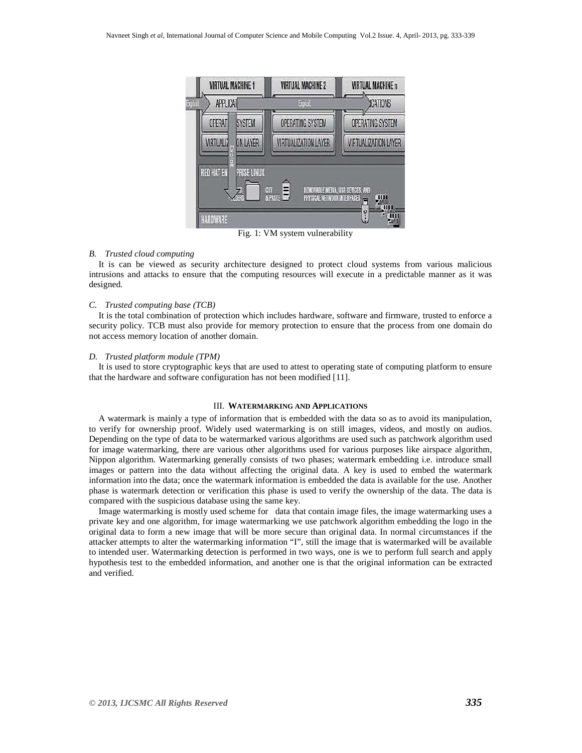

Fig. 1: VM system vulnerability

#### *B. Trusted cloud computing*

It is can be viewed as security architecture designed to protect cloud systems from various malicious intrusions and attacks to ensure that the computing resources will execute in a predictable manner as it was designed.

#### *C. Trusted computing base (TCB)*

It is the total combination of protection which includes hardware, software and firmware, trusted to enforce a security policy. TCB must also provide for memory protection to ensure that the process from one domain do not access memory location of another domain.

## *D. Trusted platform module (TPM)*

It is used to store cryptographic keys that are used to attest to operating state of computing platform to ensure that the hardware and software configuration has not been modified [11].

## III. **WATERMARKING AND APPLICATIONS**

A watermark is mainly a type of information that is embedded with the data so as to avoid its manipulation, to verify for ownership proof. Widely used watermarking is on still images, videos, and mostly on audios. Depending on the type of data to be watermarked various algorithms are used such as patchwork algorithm used for image watermarking, there are various other algorithms used for various purposes like airspace algorithm, Nippon algorithm. Watermarking generally consists of two phases; watermark embedding i.e. introduce small images or pattern into the data without affecting the original data. A key is used to embed the watermark information into the data; once the watermark information is embedded the data is available for the use. Another phase is watermark detection or verification this phase is used to verify the ownership of the data. The data is compared with the suspicious database using the same key.

Image watermarking is mostly used scheme for data that contain image files, the image watermarking uses a private key and one algorithm, for image watermarking we use patchwork algorithm embedding the logo in the original data to form a new image that will be more secure than original data. In normal circumstances if the attacker attempts to alter the watermarking information "I", still the image that is watermarked will be available to intended user. Watermarking detection is performed in two ways, one is we to perform full search and apply hypothesis test to the embedded information, and another one is that the original information can be extracted and verified.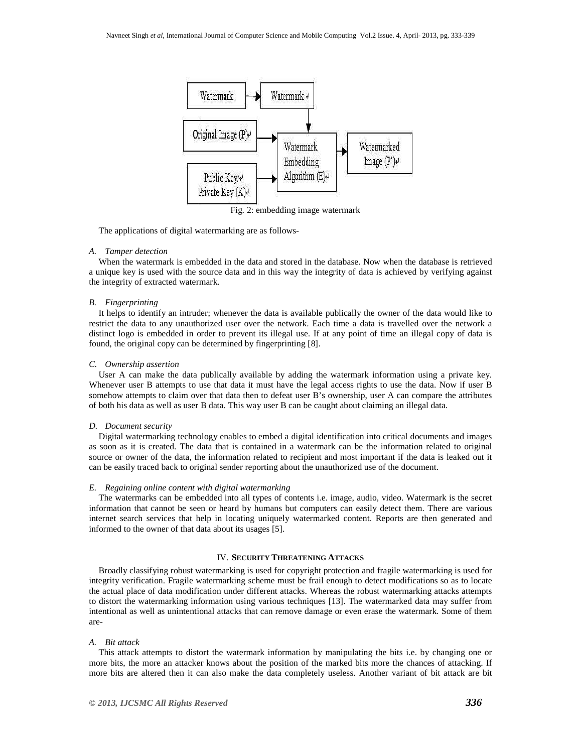

Fig. 2: embedding image watermark

The applications of digital watermarking are as follows-

## *A. Tamper detection*

When the watermark is embedded in the data and stored in the database. Now when the database is retrieved a unique key is used with the source data and in this way the integrity of data is achieved by verifying against the integrity of extracted watermark.

## *B. Fingerprinting*

It helps to identify an intruder; whenever the data is available publically the owner of the data would like to restrict the data to any unauthorized user over the network. Each time a data is travelled over the network a distinct logo is embedded in order to prevent its illegal use. If at any point of time an illegal copy of data is found, the original copy can be determined by fingerprinting [8].

#### *C. Ownership assertion*

User A can make the data publically available by adding the watermark information using a private key. Whenever user B attempts to use that data it must have the legal access rights to use the data. Now if user B somehow attempts to claim over that data then to defeat user B's ownership, user A can compare the attributes of both his data as well as user B data. This way user B can be caught about claiming an illegal data.

#### *D. Document security*

Digital watermarking technology enables to embed a digital identification into critical documents and images as soon as it is created. The data that is contained in a watermark can be the information related to original source or owner of the data, the information related to recipient and most important if the data is leaked out it can be easily traced back to original sender reporting about the unauthorized use of the document.

## *E. Regaining online content with digital watermarking*

The watermarks can be embedded into all types of contents i.e. image, audio, video. Watermark is the secret information that cannot be seen or heard by humans but computers can easily detect them. There are various internet search services that help in locating uniquely watermarked content. Reports are then generated and informed to the owner of that data about its usages [5].

## IV. **SECURITY THREATENING ATTACKS**

Broadly classifying robust watermarking is used for copyright protection and fragile watermarking is used for integrity verification. Fragile watermarking scheme must be frail enough to detect modifications so as to locate the actual place of data modification under different attacks. Whereas the robust watermarking attacks attempts to distort the watermarking information using various techniques [13]. The watermarked data may suffer from intentional as well as unintentional attacks that can remove damage or even erase the watermark. Some of them are-

## *A. Bit attack*

This attack attempts to distort the watermark information by manipulating the bits i.e. by changing one or more bits, the more an attacker knows about the position of the marked bits more the chances of attacking. If more bits are altered then it can also make the data completely useless. Another variant of bit attack are bit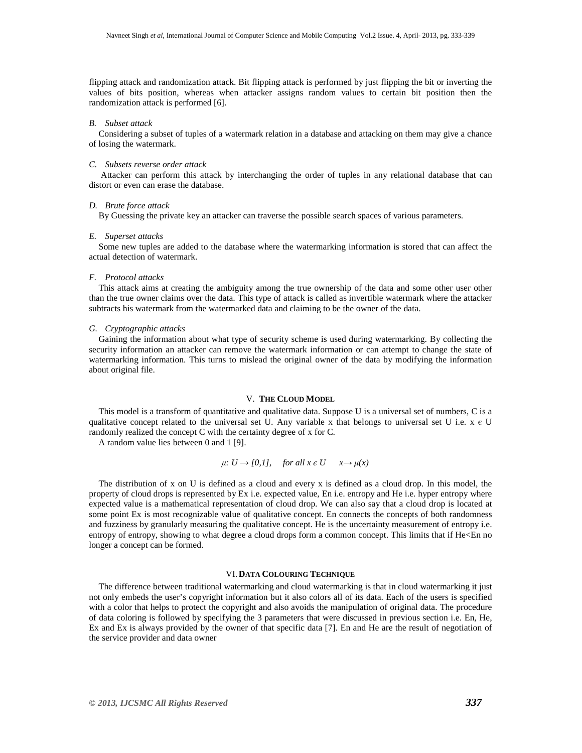flipping attack and randomization attack. Bit flipping attack is performed by just flipping the bit or inverting the values of bits position, whereas when attacker assigns random values to certain bit position then the randomization attack is performed [6].

## *B. Subset attack*

Considering a subset of tuples of a watermark relation in a database and attacking on them may give a chance of losing the watermark.

#### *C. Subsets reverse order attack*

Attacker can perform this attack by interchanging the order of tuples in any relational database that can distort or even can erase the database.

## *D. Brute force attack*

By Guessing the private key an attacker can traverse the possible search spaces of various parameters.

#### *E. Superset attacks*

Some new tuples are added to the database where the watermarking information is stored that can affect the actual detection of watermark.

## *F. Protocol attacks*

This attack aims at creating the ambiguity among the true ownership of the data and some other user other than the true owner claims over the data. This type of attack is called as invertible watermark where the attacker subtracts his watermark from the watermarked data and claiming to be the owner of the data.

## *G. Cryptographic attacks*

Gaining the information about what type of security scheme is used during watermarking. By collecting the security information an attacker can remove the watermark information or can attempt to change the state of watermarking information. This turns to mislead the original owner of the data by modifying the information about original file.

#### V. **THE CLOUD MODEL**

This model is a transform of quantitative and qualitative data. Suppose U is a universal set of numbers, C is a qualitative concept related to the universal set U. Any variable x that belongs to universal set U i.e.  $x \in U$ randomly realized the concept C with the certainty degree of x for C.

A random value lies between 0 and 1 [9].

## $\mu: U \rightarrow [0,1],$  for all  $x \in U$   $x \rightarrow \mu(x)$

The distribution of x on U is defined as a cloud and every x is defined as a cloud drop. In this model, the property of cloud drops is represented by Ex i.e. expected value, En i.e. entropy and He i.e. hyper entropy where expected value is a mathematical representation of cloud drop. We can also say that a cloud drop is located at some point Ex is most recognizable value of qualitative concept. En connects the concepts of both randomness and fuzziness by granularly measuring the qualitative concept. He is the uncertainty measurement of entropy i.e. entropy of entropy, showing to what degree a cloud drops form a common concept. This limits that if He<En no longer a concept can be formed.

## VI. **DATA COLOURING TECHNIQUE**

The difference between traditional watermarking and cloud watermarking is that in cloud watermarking it just not only embeds the user's copyright information but it also colors all of its data. Each of the users is specified with a color that helps to protect the copyright and also avoids the manipulation of original data. The procedure of data coloring is followed by specifying the 3 parameters that were discussed in previous section i.e. En, He, Ex and Ex is always provided by the owner of that specific data [7]. En and He are the result of negotiation of the service provider and data owner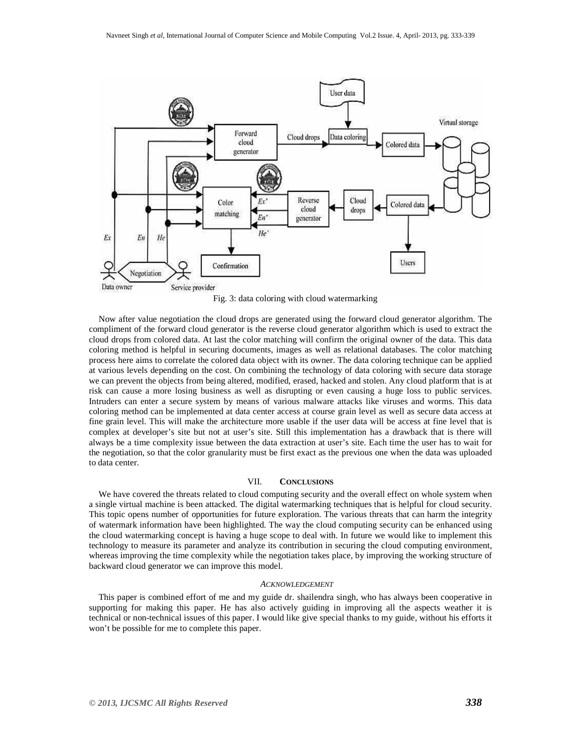

Fig. 3: data coloring with cloud watermarking

Now after value negotiation the cloud drops are generated using the forward cloud generator algorithm. The compliment of the forward cloud generator is the reverse cloud generator algorithm which is used to extract the cloud drops from colored data. At last the color matching will confirm the original owner of the data. This data coloring method is helpful in securing documents, images as well as relational databases. The color matching process here aims to correlate the colored data object with its owner. The data coloring technique can be applied at various levels depending on the cost. On combining the technology of data coloring with secure data storage we can prevent the objects from being altered, modified, erased, hacked and stolen. Any cloud platform that is at risk can cause a more losing business as well as disrupting or even causing a huge loss to public services. Intruders can enter a secure system by means of various malware attacks like viruses and worms. This data coloring method can be implemented at data center access at course grain level as well as secure data access at fine grain level. This will make the architecture more usable if the user data will be access at fine level that is complex at developer's site but not at user's site. Still this implementation has a drawback that is there will always be a time complexity issue between the data extraction at user's site. Each time the user has to wait for the negotiation, so that the color granularity must be first exact as the previous one when the data was uploaded to data center.

## VII. **CONCLUSIONS**

We have covered the threats related to cloud computing security and the overall effect on whole system when a single virtual machine is been attacked. The digital watermarking techniques that is helpful for cloud security. This topic opens number of opportunities for future exploration. The various threats that can harm the integrity of watermark information have been highlighted. The way the cloud computing security can be enhanced using the cloud watermarking concept is having a huge scope to deal with. In future we would like to implement this technology to measure its parameter and analyze its contribution in securing the cloud computing environment, whereas improving the time complexity while the negotiation takes place, by improving the working structure of backward cloud generator we can improve this model.

#### *ACKNOWLEDGEMENT*

This paper is combined effort of me and my guide dr. shailendra singh, who has always been cooperative in supporting for making this paper. He has also actively guiding in improving all the aspects weather it is technical or non-technical issues of this paper. I would like give special thanks to my guide, without his efforts it won't be possible for me to complete this paper.